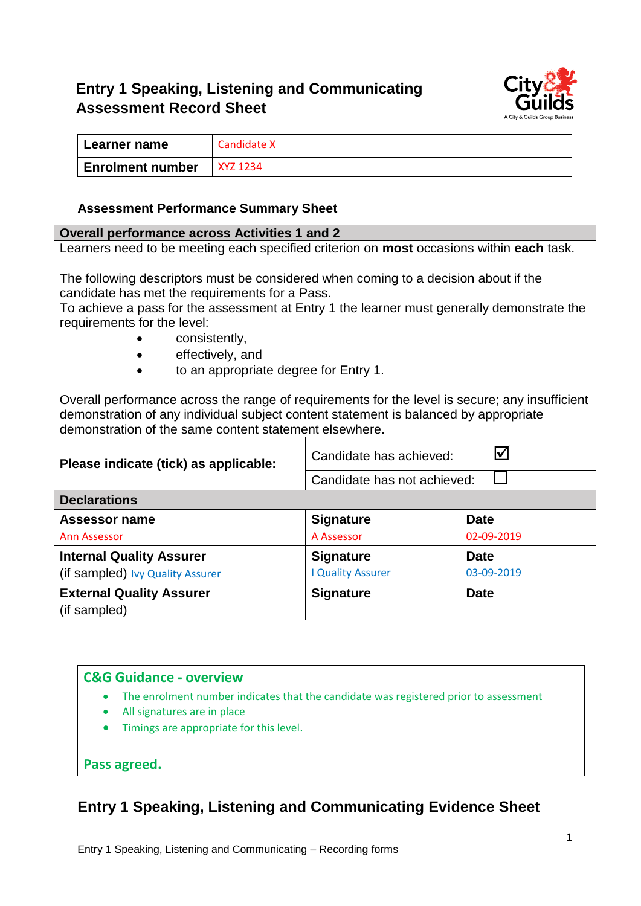## **Entry 1 Speaking, Listening and Communicating Assessment Record Sheet**



| Learner name            | Candidate X |
|-------------------------|-------------|
| <b>Enrolment number</b> | XYZ 1234    |

#### **Assessment Performance Summary Sheet**

#### **Overall performance across Activities 1 and 2** Learners need to be meeting each specified criterion on **most** occasions within **each** task. The following descriptors must be considered when coming to a decision about if the candidate has met the requirements for a Pass. To achieve a pass for the assessment at Entry 1 the learner must generally demonstrate the requirements for the level: • consistently, effectively, and • to an appropriate degree for Entry 1. Overall performance across the range of requirements for the level is secure; any insufficient demonstration of any individual subject content statement is balanced by appropriate demonstration of the same content statement elsewhere. **Please indicate (tick) as applicable:**  $\begin{bmatrix} \end{bmatrix}$  Candidate has achieved:  $\begin{bmatrix} \end{bmatrix}$ П Candidate has not achieved: **Declarations Assessor name Signature Date**  A Assessor 02-09-2019 Ann Assessor **Internal Quality Assurer Signature Date**  I Quality Assurer 03-09-2019 (if sampled) Ivy Quality Assurer **External Quality Assurer Signature Date** (if sampled)

#### **C&G Guidance - overview**

- The enrolment number indicates that the candidate was registered prior to assessment
- All signatures are in place
- Timings are appropriate for this level.

#### **Pass agreed.**

### **Entry 1 Speaking, Listening and Communicating Evidence Sheet**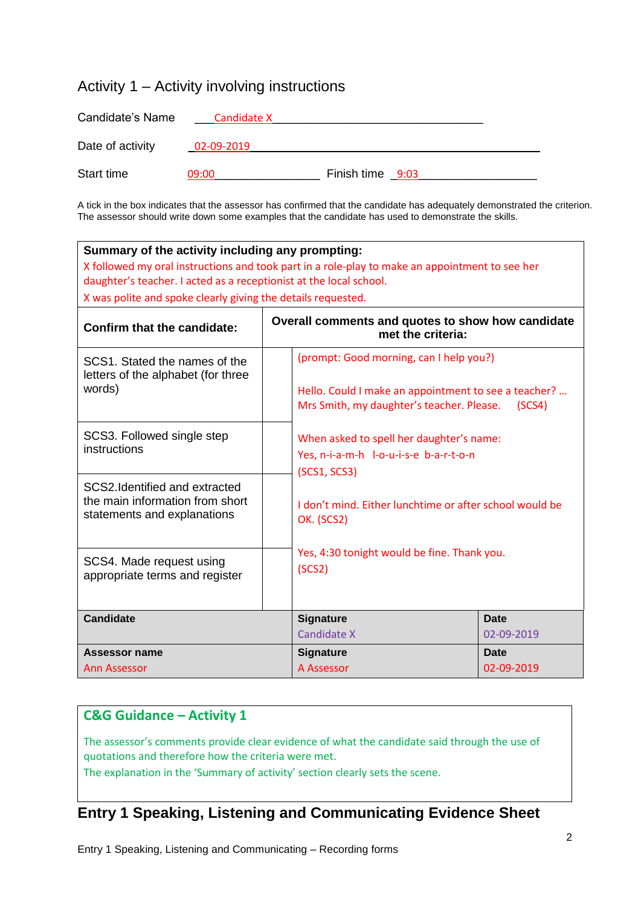### Activity 1 – Activity involving instructions

| Candidate's Name | Candidate X |                  |  |
|------------------|-------------|------------------|--|
| Date of activity | 02-09-2019  |                  |  |
| Start time       | 09:00       | Finish time 9:03 |  |

A tick in the box indicates that the assessor has confirmed that the candidate has adequately demonstrated the criterion. The assessor should write down some examples that the candidate has used to demonstrate the skills.

| Summary of the activity including any prompting:<br>X followed my oral instructions and took part in a role-play to make an appointment to see her<br>daughter's teacher. I acted as a receptionist at the local school.<br>X was polite and spoke clearly giving the details requested. |                                                                                                    |                                                                                                                                              |        |  |  |
|------------------------------------------------------------------------------------------------------------------------------------------------------------------------------------------------------------------------------------------------------------------------------------------|----------------------------------------------------------------------------------------------------|----------------------------------------------------------------------------------------------------------------------------------------------|--------|--|--|
| <b>Confirm that the candidate:</b>                                                                                                                                                                                                                                                       | Overall comments and quotes to show how candidate<br>met the criteria:                             |                                                                                                                                              |        |  |  |
| SCS1. Stated the names of the<br>letters of the alphabet (for three<br>words)                                                                                                                                                                                                            |                                                                                                    | (prompt: Good morning, can I help you?)<br>Hello. Could I make an appointment to see a teacher?<br>Mrs Smith, my daughter's teacher. Please. | (SCS4) |  |  |
| SCS3. Followed single step<br>instructions                                                                                                                                                                                                                                               | When asked to spell her daughter's name:<br>Yes, n-i-a-m-h l-o-u-i-s-e b-a-r-t-o-n<br>(SCS1, SCS3) |                                                                                                                                              |        |  |  |
| SCS2.Identified and extracted<br>the main information from short<br>statements and explanations                                                                                                                                                                                          | OK. (SCS2)                                                                                         | I don't mind. Either lunchtime or after school would be                                                                                      |        |  |  |
| SCS4. Made request using<br>appropriate terms and register                                                                                                                                                                                                                               | Yes, 4:30 tonight would be fine. Thank you.<br>(SCS2)                                              |                                                                                                                                              |        |  |  |
| <b>Candidate</b>                                                                                                                                                                                                                                                                         | <b>Signature</b>                                                                                   | <b>Date</b>                                                                                                                                  |        |  |  |
|                                                                                                                                                                                                                                                                                          | Candidate X                                                                                        | 02-09-2019                                                                                                                                   |        |  |  |
| Assessor name<br>Ann Assessor                                                                                                                                                                                                                                                            | <b>Signature</b><br>A Assessor                                                                     | Date<br>02-09-2019                                                                                                                           |        |  |  |
|                                                                                                                                                                                                                                                                                          |                                                                                                    |                                                                                                                                              |        |  |  |

### **C&G Guidance – Activity 1**

The assessor's comments provide clear evidence of what the candidate said through the use of quotations and therefore how the criteria were met.

The explanation in the 'Summary of activity' section clearly sets the scene.

# **Entry 1 Speaking, Listening and Communicating Evidence Sheet**